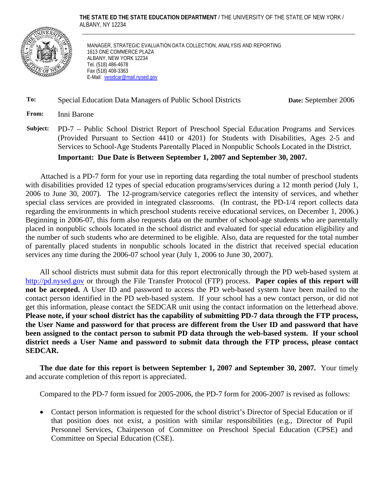**THE STATE ED THE STATE EDUCATION DEPARTMENT** / THE UNIVERSITY OF THE STATE OF NEW YORK / ALBANY, NY 12234



MANAGER, STRATEGIC EVALUATION DATA COLLECTION, ANALYSIS AND REPORTING 1613 ONE COMMERCE PLAZA ALBANY, NEW YORK 12234 Tel. (518) 486-4678 Fax (518) 408-3363 E-Mail: vesidcar@mail.nysed.gov

#### **To:** Special Education Data Managers of Public School Districts **Date:** September 2006

**From:** Inni Barone

**Subject:** PD-7 – Public School District Report of Preschool Special Education Programs and Services (Provided Pursuant to Section 4410 or 4201) for Students with Disabilities, Ages 2-5 and Services to School-Age Students Parentally Placed in Nonpublic Schools Located in the District.

**Important: Due Date is Between September 1, 2007 and September 30, 2007.**

Attached is a PD-7 form for your use in reporting data regarding the total number of preschool students with disabilities provided 12 types of special education programs/services during a 12 month period (July 1, 2006 to June 30, 2007). The 12-program/service categories reflect the intensity of services, and whether special class services are provided in integrated classrooms. (In contrast, the PD-1/4 report collects data regarding the environments in which preschool students receive educational services, on December 1, 2006.) Beginning in 2006-07, this form also requests data on the number of school-age students who are parentally placed in nonpublic schools located in the school district and evaluated for special education eligibility and the number of such students who are determined to be eligible. Also, data are requested for the total number of parentally placed students in nonpublic schools located in the district that received special education services any time during the 2006-07 school year (July 1, 2006 to June 30, 2007).

All school districts must submit data for this report electronically through the PD web-based system at http://pd.nysed.gov or through the File Transfer Protocol (FTP) process. **Paper copies of this report will not be accepted.** A User ID and password to access the PD web-based system have been mailed to the contact person identified in the PD web-based system. If your school has a new contact person, or did not get this information, please contact the SEDCAR unit using the contact information on the letterhead above. **Please note, if your school district has the capability of submitting PD-7 data through the FTP process, the User Name and password for that process are different from the User ID and password that have been assigned to the contact person to submit PD data through the web-based system. If your school district needs a User Name and password to submit data through the FTP process, please contact SEDCAR.** 

**The due date for this report is between September 1, 2007 and September 30, 2007.** Your timely and accurate completion of this report is appreciated.

Compared to the PD-7 form issued for 2005-2006, the PD-7 form for 2006-2007 is revised as follows:

• Contact person information is requested for the school district's Director of Special Education or if that position does not exist, a position with similar responsibilities (e.g., Director of Pupil Personnel Services, Chairperson of Committee on Preschool Special Education (CPSE) and Committee on Special Education (CSE).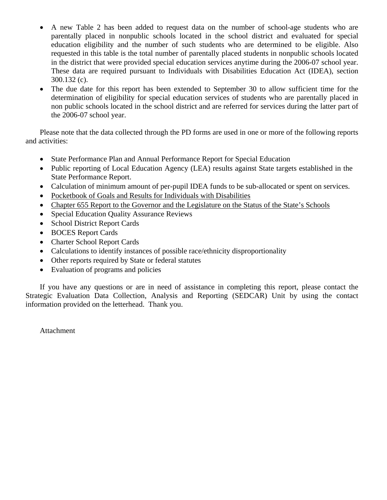- A new Table 2 has been added to request data on the number of school-age students who are parentally placed in nonpublic schools located in the school district and evaluated for special education eligibility and the number of such students who are determined to be eligible. Also requested in this table is the total number of parentally placed students in nonpublic schools located in the district that were provided special education services anytime during the 2006-07 school year. These data are required pursuant to Individuals with Disabilities Education Act (IDEA), section 300.132 (c).
- The due date for this report has been extended to September 30 to allow sufficient time for the determination of eligibility for special education services of students who are parentally placed in non public schools located in the school district and are referred for services during the latter part of the 2006-07 school year.

Please note that the data collected through the PD forms are used in one or more of the following reports and activities:

- State Performance Plan and Annual Performance Report for Special Education
- Public reporting of Local Education Agency (LEA) results against State targets established in the State Performance Report.
- Calculation of minimum amount of per-pupil IDEA funds to be sub-allocated or spent on services.
- Pocketbook of Goals and Results for Individuals with Disabilities
- Chapter 655 Report to the Governor and the Legislature on the Status of the State's Schools
- Special Education Quality Assurance Reviews
- School District Report Cards
- BOCES Report Cards
- Charter School Report Cards
- Calculations to identify instances of possible race/ethnicity disproportionality
- Other reports required by State or federal statutes
- Evaluation of programs and policies

If you have any questions or are in need of assistance in completing this report, please contact the Strategic Evaluation Data Collection, Analysis and Reporting (SEDCAR) Unit by using the contact information provided on the letterhead. Thank you.

Attachment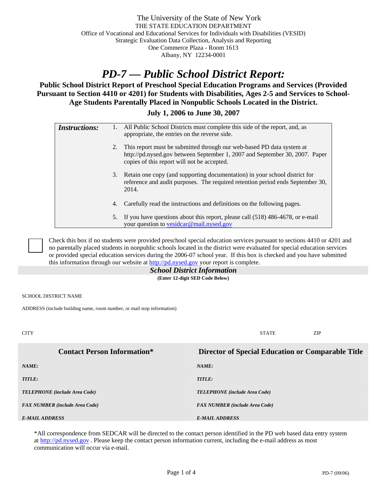# *PD-7 — Public School District Report:*

**Public School District Report of Preschool Special Education Programs and Services (Provided Pursuant to Section 4410 or 4201) for Students with Disabilities, Ages 2-5 and Services to School-Age Students Parentally Placed in Nonpublic Schools Located in the District.** 

**July 1, 2006 to June 30, 2007** 

| <b>Instructions:</b> |    | All Public School Districts must complete this side of the report, and, as<br>appropriate, the entries on the reverse side.                                                                         |  |  |
|----------------------|----|-----------------------------------------------------------------------------------------------------------------------------------------------------------------------------------------------------|--|--|
|                      | 2. | This report must be submitted through our web-based PD data system at<br>http://pd.nysed.gov between September 1, 2007 and September 30, 2007. Paper<br>copies of this report will not be accepted. |  |  |
|                      | 3. | Retain one copy (and supporting documentation) in your school district for<br>reference and audit purposes. The required retention period ends September 30,<br>2014.                               |  |  |
|                      | 4. | Carefully read the instructions and definitions on the following pages.                                                                                                                             |  |  |
|                      | 5. | If you have questions about this report, please call $(518)$ 486-4678, or e-mail<br>your question to vesidear@mail.nysed.gov                                                                        |  |  |

 Check this box if no students were provided preschool special education services pursuant to sections 4410 or 4201 and no parentally placed students in nonpublic schools located in the district were evaluated for special education services or provided special education services during the 2006-07 school year. If this box is checked and you have submitted this information through our website at http://pd.nysed.gov your report is complete.

## *School District Information*

**(Enter 12-digit SED Code Below)** 

SCHOOL DISTRICT NAME

ADDRESS (include building name, room number, or mail stop information)

CITY STATE ZIP **Contact Person Information\* Director of Special Education or Comparable Title**  *NAME: NAME: TITLE: TITLE: TELEPHONE (include Area Code) TELEPHONE (include Area Code) FAX NUMBER (include Area Code) FAX NUMBER (include Area Code) E-MAIL ADDRESS E-MAIL ADDRESS* 

\*All correspondence from SEDCAR will be directed to the contact person identified in the PD web based data entry system at http://pd.nysed.gov. Please keep the contact person information current, including the e-mail address as most communication will occur via e-mail.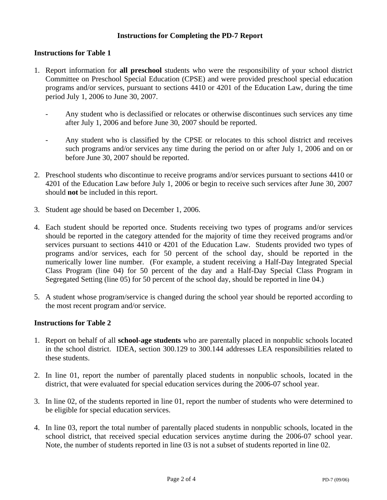#### **Instructions for Completing the PD-7 Report**

#### **Instructions for Table 1**

- 1. Report information for **all preschool** students who were the responsibility of your school district Committee on Preschool Special Education (CPSE) and were provided preschool special education programs and/or services, pursuant to sections 4410 or 4201 of the Education Law, during the time period July 1, 2006 to June 30, 2007.
	- Any student who is declassified or relocates or otherwise discontinues such services any time after July 1, 2006 and before June 30, 2007 should be reported.
	- Any student who is classified by the CPSE or relocates to this school district and receives such programs and/or services any time during the period on or after July 1, 2006 and on or before June 30, 2007 should be reported.
- 2. Preschool students who discontinue to receive programs and/or services pursuant to sections 4410 or 4201 of the Education Law before July 1, 2006 or begin to receive such services after June 30, 2007 should **not** be included in this report.
- 3. Student age should be based on December 1, 2006.
- 4. Each student should be reported once. Students receiving two types of programs and/or services should be reported in the category attended for the majority of time they received programs and/or services pursuant to sections 4410 or 4201 of the Education Law. Students provided two types of programs and/or services, each for 50 percent of the school day, should be reported in the numerically lower line number. (For example, a student receiving a Half-Day Integrated Special Class Program (line 04) for 50 percent of the day and a Half-Day Special Class Program in Segregated Setting (line 05) for 50 percent of the school day, should be reported in line 04.)
- 5. A student whose program/service is changed during the school year should be reported according to the most recent program and/or service.

#### **Instructions for Table 2**

- 1. Report on behalf of all **school-age students** who are parentally placed in nonpublic schools located in the school district. IDEA, section 300.129 to 300.144 addresses LEA responsibilities related to these students.
- 2. In line 01, report the number of parentally placed students in nonpublic schools, located in the district, that were evaluated for special education services during the 2006-07 school year.
- 3. In line 02, of the students reported in line 01, report the number of students who were determined to be eligible for special education services.
- 4. In line 03, report the total number of parentally placed students in nonpublic schools, located in the school district, that received special education services anytime during the 2006-07 school year. Note, the number of students reported in line 03 is not a subset of students reported in line 02.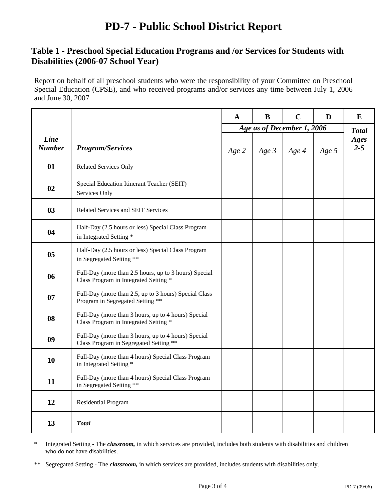## **PD-7 - Public School District Report**

### **Table 1 - Preschool Special Education Programs and /or Services for Students with Disabilities (2006-07 School Year)**

Report on behalf of all preschool students who were the responsibility of your Committee on Preschool Special Education (CPSE), and who received programs and/or services any time between July 1, 2006 and June 30, 2007

|                              |                                                                                                | $\mathbf A$ | B                          | $\mathbf C$ | D     | E               |
|------------------------------|------------------------------------------------------------------------------------------------|-------------|----------------------------|-------------|-------|-----------------|
|                              |                                                                                                |             | Age as of December 1, 2006 |             |       | <b>Total</b>    |
| <b>Line</b><br><b>Number</b> | <b>Program/Services</b>                                                                        | Age 2       | Age $3$                    | Age 4       | Age 5 | Ages<br>$2 - 5$ |
| 01                           | <b>Related Services Only</b>                                                                   |             |                            |             |       |                 |
| 02                           | Special Education Itinerant Teacher (SEIT)<br>Services Only                                    |             |                            |             |       |                 |
| 0 <sub>3</sub>               | Related Services and SEIT Services                                                             |             |                            |             |       |                 |
| 04                           | Half-Day (2.5 hours or less) Special Class Program<br>in Integrated Setting *                  |             |                            |             |       |                 |
| 05                           | Half-Day (2.5 hours or less) Special Class Program<br>in Segregated Setting **                 |             |                            |             |       |                 |
| 06                           | Full-Day (more than 2.5 hours, up to 3 hours) Special<br>Class Program in Integrated Setting * |             |                            |             |       |                 |
| 07                           | Full-Day (more than 2.5, up to 3 hours) Special Class<br>Program in Segregated Setting **      |             |                            |             |       |                 |
| 08                           | Full-Day (more than 3 hours, up to 4 hours) Special<br>Class Program in Integrated Setting *   |             |                            |             |       |                 |
| 09                           | Full-Day (more than 3 hours, up to 4 hours) Special<br>Class Program in Segregated Setting **  |             |                            |             |       |                 |
| 10                           | Full-Day (more than 4 hours) Special Class Program<br>in Integrated Setting *                  |             |                            |             |       |                 |
| 11                           | Full-Day (more than 4 hours) Special Class Program<br>in Segregated Setting **                 |             |                            |             |       |                 |
| 12                           | <b>Residential Program</b>                                                                     |             |                            |             |       |                 |
| 13                           | <b>Total</b>                                                                                   |             |                            |             |       |                 |

\* Integrated Setting - The *classroom,* in which services are provided, includes both students with disabilities and children who do not have disabilities.

<sup>\*\*</sup> Segregated Setting - The *classroom,* in which services are provided, includes students with disabilities only.